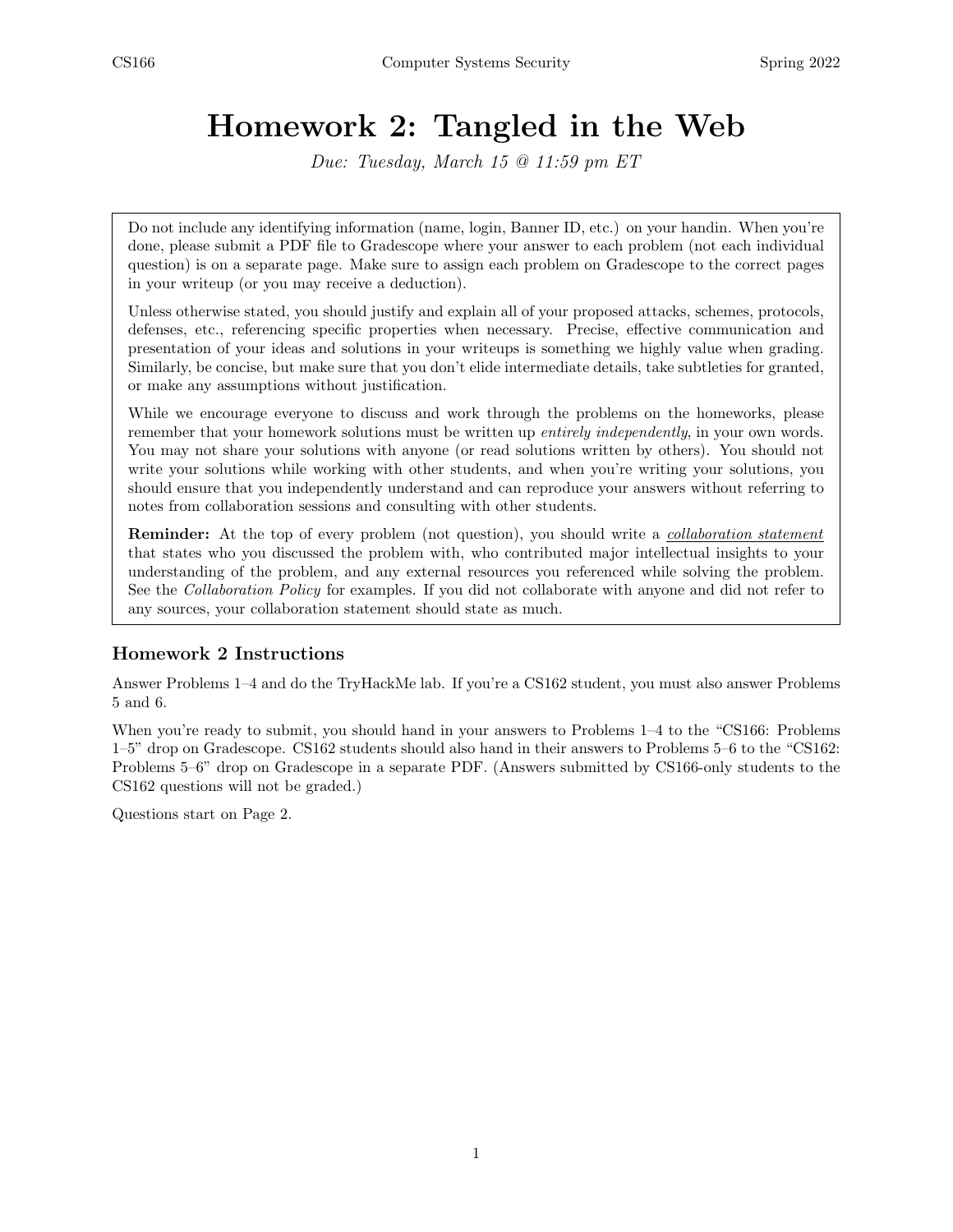# Homework 2: Tangled in the Web

Due: Tuesday, March 15 @ 11:59 pm ET

Do not include any identifying information (name, login, Banner ID, etc.) on your handin. When you're done, please submit a PDF file to Gradescope where your answer to each problem (not each individual question) is on a separate page. Make sure to assign each problem on Gradescope to the correct pages in your writeup (or you may receive a deduction).

Unless otherwise stated, you should justify and explain all of your proposed attacks, schemes, protocols, defenses, etc., referencing specific properties when necessary. Precise, effective communication and presentation of your ideas and solutions in your writeups is something we highly value when grading. Similarly, be concise, but make sure that you don't elide intermediate details, take subtleties for granted, or make any assumptions without justification.

While we encourage everyone to discuss and work through the problems on the homeworks, please remember that your homework solutions must be written up *entirely independently*, in your own words. You may not share your solutions with anyone (or read solutions written by others). You should not write your solutions while working with other students, and when you're writing your solutions, you should ensure that you independently understand and can reproduce your answers without referring to notes from collaboration sessions and consulting with other students.

**Reminder:** At the top of every problem (not question), you should write a *collaboration statement* that states who you discussed the problem with, who contributed major intellectual insights to your understanding of the problem, and any external resources you referenced while solving the problem. See the *Collaboration Policy* for examples. If you did not collaborate with anyone and did not refer to any sources, your collaboration statement should state as much.

## Homework 2 Instructions

Answer Problems 1–4 and do the TryHackMe lab. If you're a CS162 student, you must also answer Problems 5 and 6.

When you're ready to submit, you should hand in your answers to Problems 1–4 to the "CS166: Problems" 1–5" drop on Gradescope. CS162 students should also hand in their answers to Problems 5–6 to the "CS162: Problems 5–6" drop on Gradescope in a separate PDF. (Answers submitted by CS166-only students to the CS162 questions will not be graded.)

Questions start on Page 2.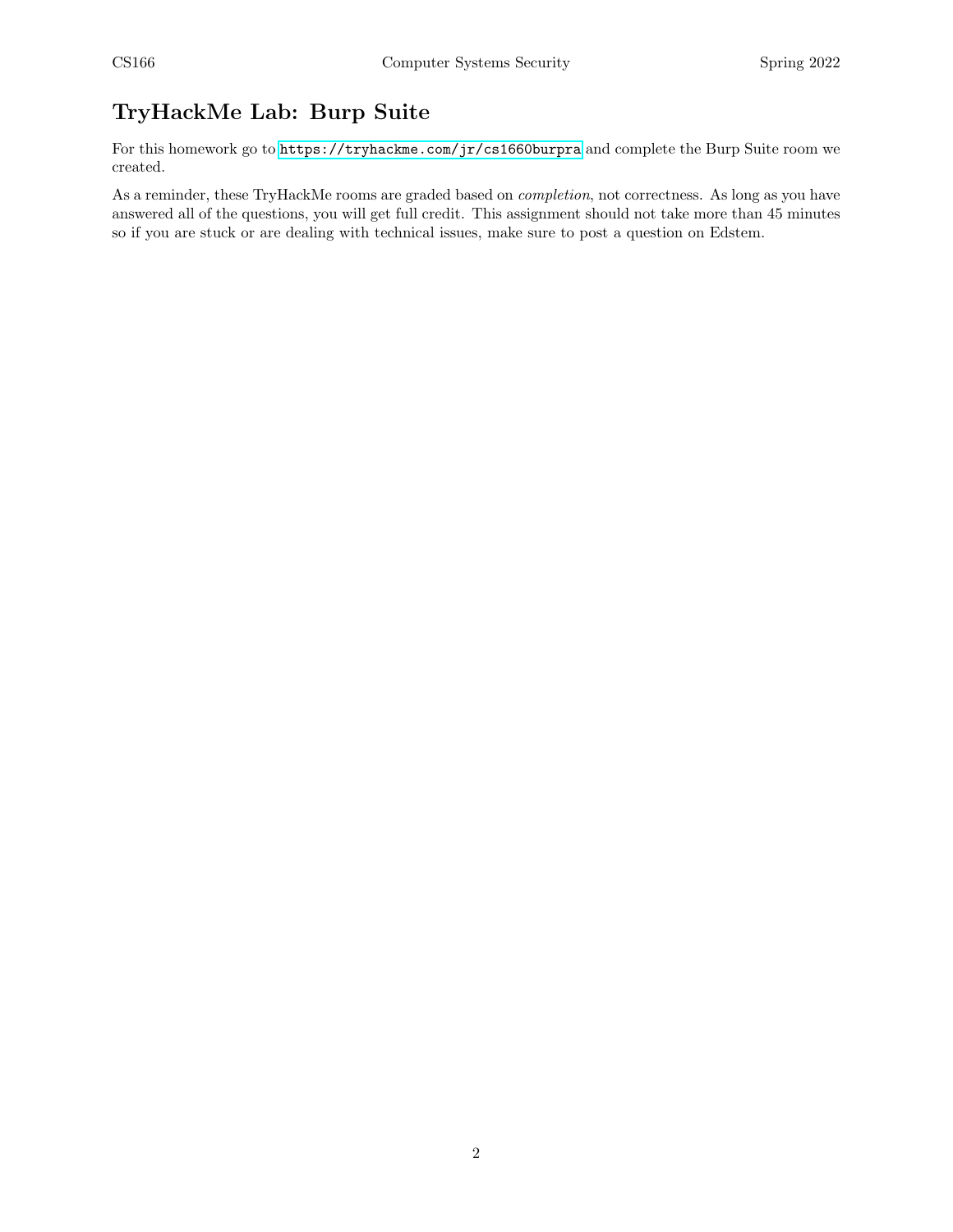## TryHackMe Lab: Burp Suite

For this homework go to <https://tryhackme.com/jr/cs1660burpra> and complete the Burp Suite room we created.

As a reminder, these TryHackMe rooms are graded based on completion, not correctness. As long as you have answered all of the questions, you will get full credit. This assignment should not take more than 45 minutes so if you are stuck or are dealing with technical issues, make sure to post a question on Edstem.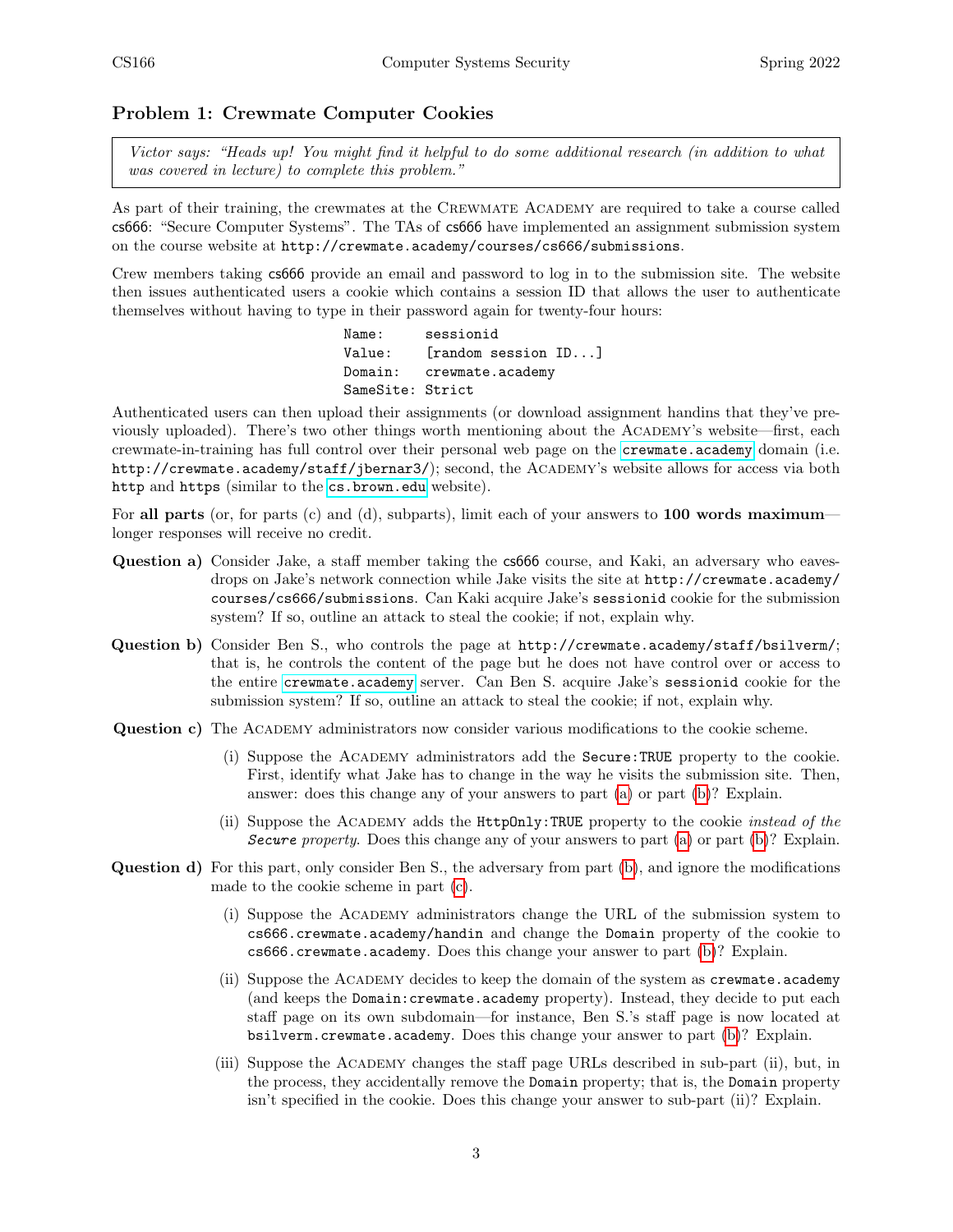#### Problem 1: Crewmate Computer Cookies

Victor says: "Heads up! You might find it helpful to do some additional research (in addition to what was covered in lecture) to complete this problem."

As part of their training, the crewmates at the Crewmate Academy are required to take a course called cs666: "Secure Computer Systems". The TAs of cs666 have implemented an assignment submission system on the course website at http://crewmate.academy/courses/cs666/submissions.

Crew members taking cs666 provide an email and password to log in to the submission site. The website then issues authenticated users a cookie which contains a session ID that allows the user to authenticate themselves without having to type in their password again for twenty-four hours:

> Name: sessionid Value: [random session ID...] Domain: crewmate.academy SameSite: Strict

Authenticated users can then upload their assignments (or download assignment handins that they've previously uploaded). There's two other things worth mentioning about the Academy's website—first, each crewmate-in-training has full control over their personal web page on the <crewmate.academy> domain (i.e. http://crewmate.academy/staff/jbernar3/); second, the Academy's website allows for access via both http and https (similar to the <cs.brown.edu> website).

For all parts (or, for parts (c) and (d), subparts), limit each of your answers to  $100$  words maximum longer responses will receive no credit.

- <span id="page-2-0"></span>Question a) Consider Jake, a staff member taking the cs666 course, and Kaki, an adversary who eavesdrops on Jake's network connection while Jake visits the site at http://crewmate.academy/ courses/cs666/submissions. Can Kaki acquire Jake's sessionid cookie for the submission system? If so, outline an attack to steal the cookie; if not, explain why.
- <span id="page-2-1"></span>Question b) Consider Ben S., who controls the page at http://crewmate.academy/staff/bsilverm/; that is, he controls the content of the page but he does not have control over or access to the entire <crewmate.academy> server. Can Ben S. acquire Jake's sessionid cookie for the submission system? If so, outline an attack to steal the cookie; if not, explain why.
- <span id="page-2-2"></span>Question c) The Academy administrators now consider various modifications to the cookie scheme.
	- (i) Suppose the Academy administrators add the Secure:TRUE property to the cookie. First, identify what Jake has to change in the way he visits the submission site. Then, answer: does this change any of your answers to part [\(a\)](#page-2-0) or part [\(b\)](#page-2-1)? Explain.
	- (ii) Suppose the ACADEMY adds the HttpOnly: TRUE property to the cookie *instead of the* Secure property. Does this change any of your answers to part [\(a\)](#page-2-0) or part [\(b\)](#page-2-1)? Explain.
- Question d) For this part, only consider Ben S., the adversary from part [\(b\)](#page-2-1), and ignore the modifications made to the cookie scheme in part [\(c\)](#page-2-2).
	- (i) Suppose the Academy administrators change the URL of the submission system to cs666.crewmate.academy/handin and change the Domain property of the cookie to cs666.crewmate.academy. Does this change your answer to part [\(b\)](#page-2-1)? Explain.
	- (ii) Suppose the Academy decides to keep the domain of the system as crewmate.academy (and keeps the Domain:crewmate.academy property). Instead, they decide to put each staff page on its own subdomain—for instance, Ben S.'s staff page is now located at bsilverm.crewmate.academy. Does this change your answer to part [\(b\)](#page-2-1)? Explain.
	- (iii) Suppose the Academy changes the staff page URLs described in sub-part (ii), but, in the process, they accidentally remove the Domain property; that is, the Domain property isn't specified in the cookie. Does this change your answer to sub-part (ii)? Explain.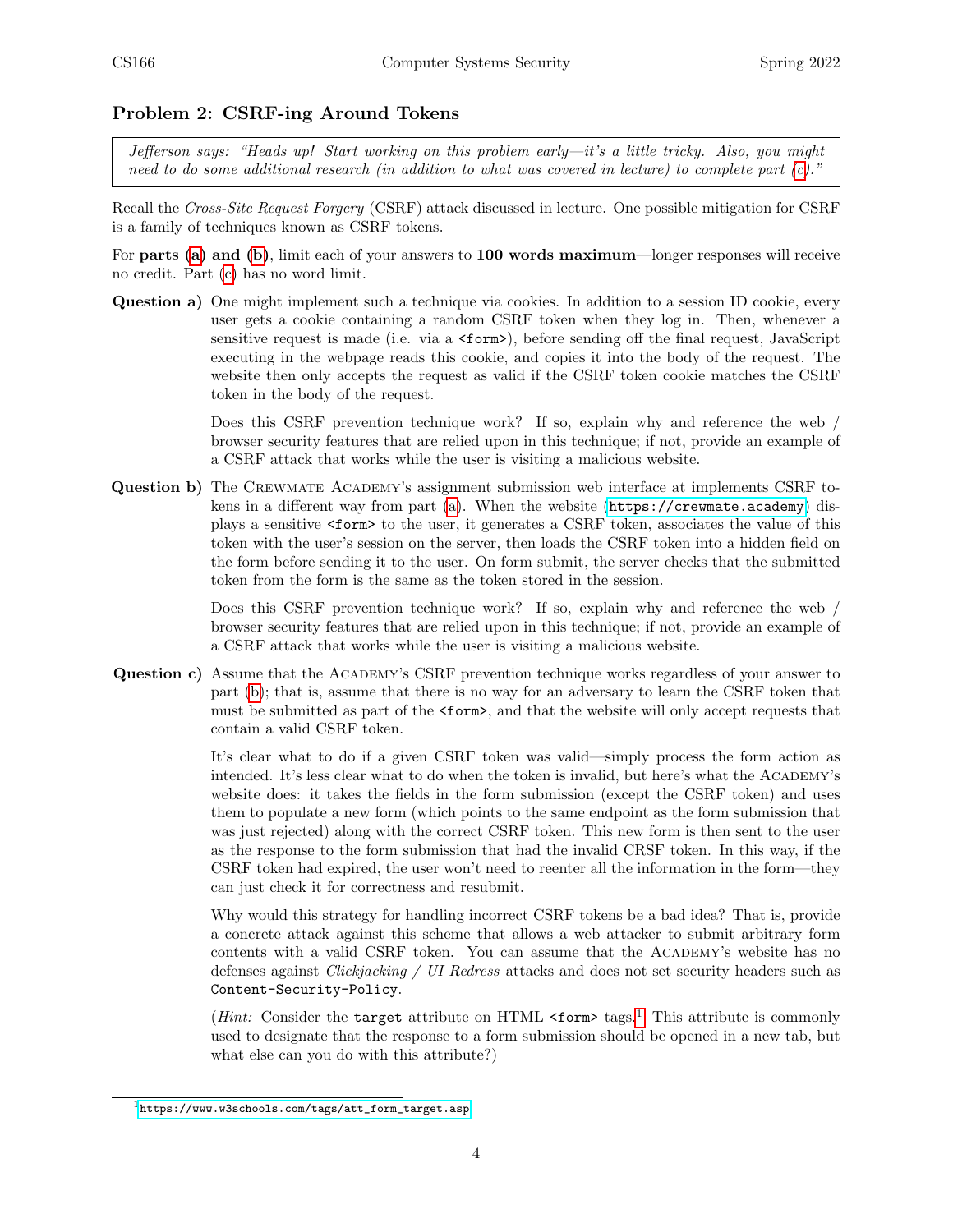#### Problem 2: CSRF-ing Around Tokens

Jefferson says: "Heads up! Start working on this problem early—it's a little tricky. Also, you might need to do some additional research (in addition to what was covered in lecture) to complete part  $(c)$ ."

Recall the Cross-Site Request Forgery (CSRF) attack discussed in lecture. One possible mitigation for CSRF is a family of techniques known as CSRF tokens.

For parts [\(a\)](#page-3-1) and [\(b\)](#page-3-2), limit each of your answers to 100 words maximum—longer responses will receive no credit. Part [\(c\)](#page-3-0) has no word limit.

<span id="page-3-1"></span>Question a) One might implement such a technique via cookies. In addition to a session ID cookie, every user gets a cookie containing a random CSRF token when they log in. Then, whenever a sensitive request is made (i.e. via a  $\text{form}$ ), before sending off the final request, JavaScript executing in the webpage reads this cookie, and copies it into the body of the request. The website then only accepts the request as valid if the CSRF token cookie matches the CSRF token in the body of the request.

> Does this CSRF prevention technique work? If so, explain why and reference the web / browser security features that are relied upon in this technique; if not, provide an example of a CSRF attack that works while the user is visiting a malicious website.

<span id="page-3-2"></span>Question b) The Crewmate Academy's assignment submission web interface at implements CSRF tokens in a different way from part [\(a\)](#page-3-1). When the website (<https://crewmate.academy>) displays a sensitive <form> to the user, it generates a CSRF token, associates the value of this token with the user's session on the server, then loads the CSRF token into a hidden field on the form before sending it to the user. On form submit, the server checks that the submitted token from the form is the same as the token stored in the session.

> Does this CSRF prevention technique work? If so, explain why and reference the web / browser security features that are relied upon in this technique; if not, provide an example of a CSRF attack that works while the user is visiting a malicious website.

<span id="page-3-0"></span>Question c) Assume that the Academy's CSRF prevention technique works regardless of your answer to part [\(b\)](#page-3-2); that is, assume that there is no way for an adversary to learn the CSRF token that must be submitted as part of the  $\text{form}$ , and that the website will only accept requests that contain a valid CSRF token.

> It's clear what to do if a given CSRF token was valid—simply process the form action as intended. It's less clear what to do when the token is invalid, but here's what the Academy's website does: it takes the fields in the form submission (except the CSRF token) and uses them to populate a new form (which points to the same endpoint as the form submission that was just rejected) along with the correct CSRF token. This new form is then sent to the user as the response to the form submission that had the invalid CRSF token. In this way, if the CSRF token had expired, the user won't need to reenter all the information in the form—they can just check it for correctness and resubmit.

> Why would this strategy for handling incorrect CSRF tokens be a bad idea? That is, provide a concrete attack against this scheme that allows a web attacker to submit arbitrary form contents with a valid CSRF token. You can assume that the Academy's website has no defenses against Clickjacking / UI Redress attacks and does not set security headers such as Content-Security-Policy.

> (*Hint*: Consider the target attribute on HTML  $\leq$  form tags.<sup>[1](#page-3-3)</sup> This attribute is commonly used to designate that the response to a form submission should be opened in a new tab, but what else can you do with this attribute?)

<span id="page-3-3"></span><sup>1</sup>[https://www.w3schools.com/tags/att\\_form\\_target.asp](https://www.w3schools.com/tags/att_form_target.asp)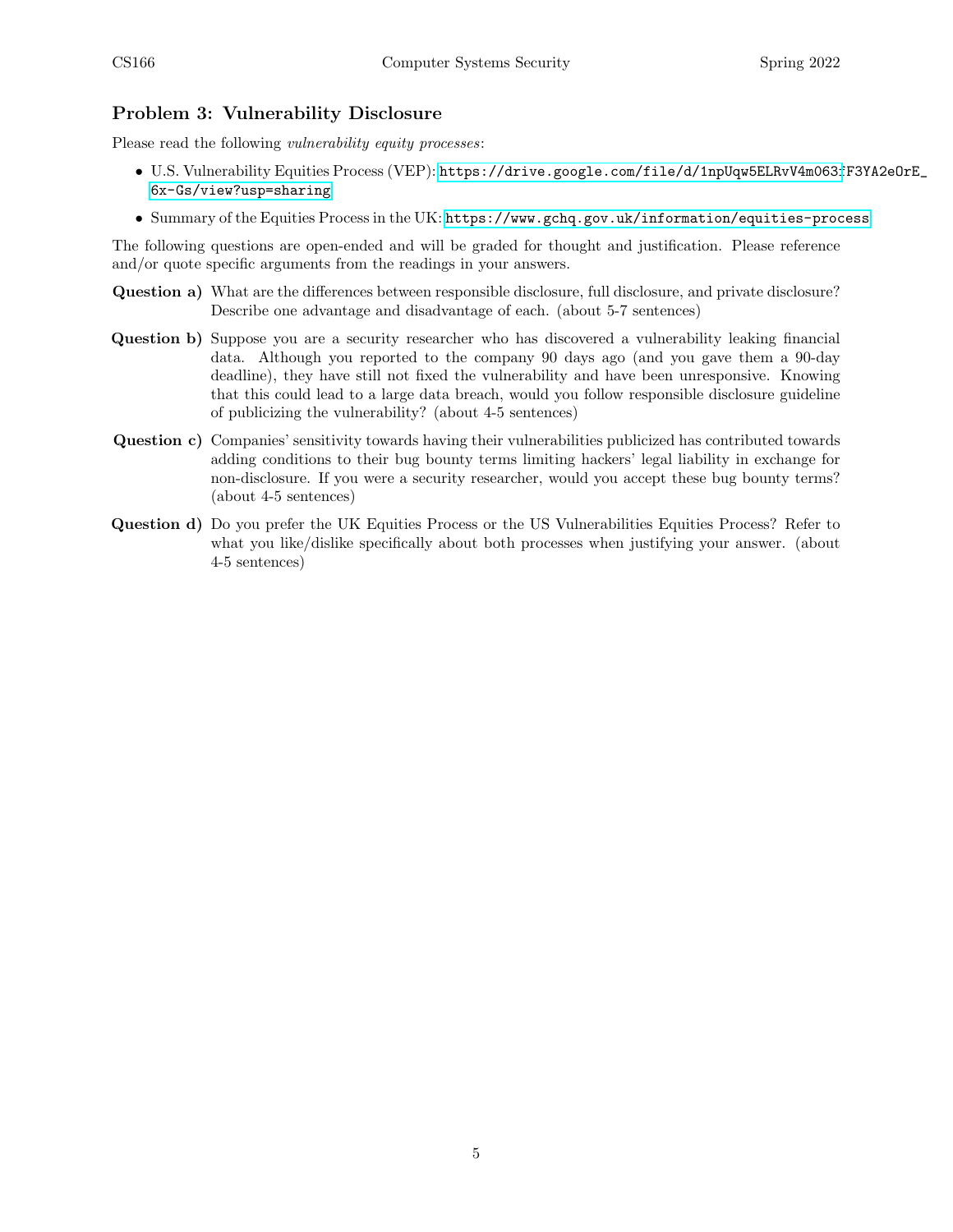## Problem 3: Vulnerability Disclosure

Please read the following *vulnerability equity processes*:

- U.S. Vulnerability Equities Process (VEP): [https://drive.google.com/file/d/1npUqw5ELRvV4m063f](https://drive.google.com/file/d/1npUqw5ELRvV4m063fF3YA2eOrE_6x-Gs/view?usp=sharing)F3YA2eOrE\_ [6x-Gs/view?usp=sharing](https://drive.google.com/file/d/1npUqw5ELRvV4m063fF3YA2eOrE_6x-Gs/view?usp=sharing)
- Summary of the Equities Process in the UK: <https://www.gchq.gov.uk/information/equities-process>

The following questions are open-ended and will be graded for thought and justification. Please reference and/or quote specific arguments from the readings in your answers.

- Question a) What are the differences between responsible disclosure, full disclosure, and private disclosure? Describe one advantage and disadvantage of each. (about 5-7 sentences)
- Question b) Suppose you are a security researcher who has discovered a vulnerability leaking financial data. Although you reported to the company 90 days ago (and you gave them a 90-day deadline), they have still not fixed the vulnerability and have been unresponsive. Knowing that this could lead to a large data breach, would you follow responsible disclosure guideline of publicizing the vulnerability? (about 4-5 sentences)
- Question c) Companies' sensitivity towards having their vulnerabilities publicized has contributed towards adding conditions to their bug bounty terms limiting hackers' legal liability in exchange for non-disclosure. If you were a security researcher, would you accept these bug bounty terms? (about 4-5 sentences)
- Question d) Do you prefer the UK Equities Process or the US Vulnerabilities Equities Process? Refer to what you like/dislike specifically about both processes when justifying your answer. (about 4-5 sentences)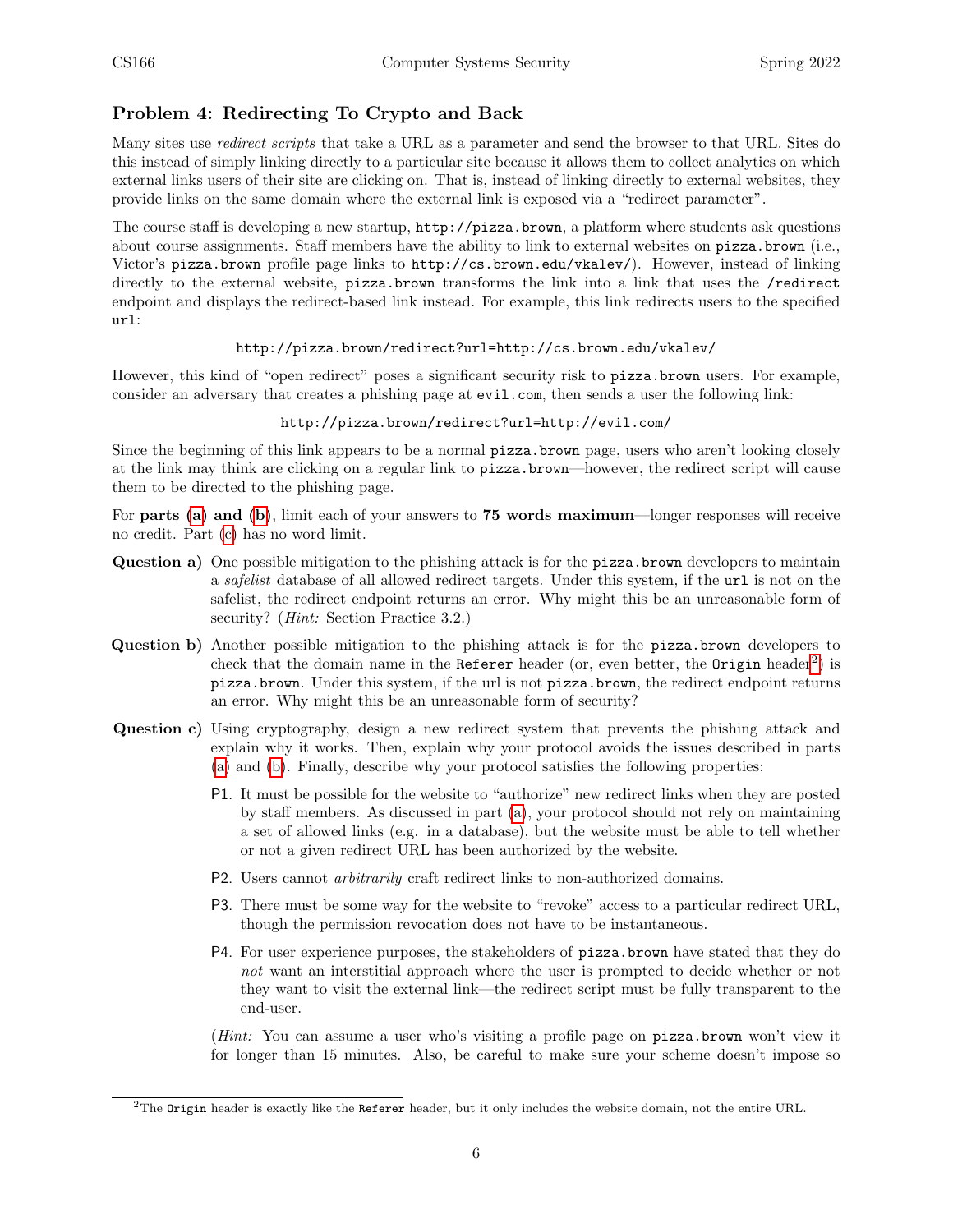## Problem 4: Redirecting To Crypto and Back

Many sites use redirect scripts that take a URL as a parameter and send the browser to that URL. Sites do this instead of simply linking directly to a particular site because it allows them to collect analytics on which external links users of their site are clicking on. That is, instead of linking directly to external websites, they provide links on the same domain where the external link is exposed via a "redirect parameter".

The course staff is developing a new startup, http://pizza.brown, a platform where students ask questions about course assignments. Staff members have the ability to link to external websites on pizza.brown (i.e., Victor's pizza.brown profile page links to http://cs.brown.edu/vkalev/). However, instead of linking directly to the external website, pizza.brown transforms the link into a link that uses the /redirect endpoint and displays the redirect-based link instead. For example, this link redirects users to the specified url:

#### http://pizza.brown/redirect?url=http://cs.brown.edu/vkalev/

However, this kind of "open redirect" poses a significant security risk to pizza.brown users. For example, consider an adversary that creates a phishing page at evil.com, then sends a user the following link:

#### http://pizza.brown/redirect?url=http://evil.com/

Since the beginning of this link appears to be a normal **pizza**.brown page, users who aren't looking closely at the link may think are clicking on a regular link to pizza.brown—however, the redirect script will cause them to be directed to the phishing page.

For parts [\(a\)](#page-5-0) and [\(b\)](#page-5-1), limit each of your answers to 75 words maximum—longer responses will receive no credit. Part [\(c\)](#page-5-2) has no word limit.

- <span id="page-5-0"></span>Question a) One possible mitigation to the phishing attack is for the pizza.brown developers to maintain a *safelist* database of all allowed redirect targets. Under this system, if the url is not on the safelist, the redirect endpoint returns an error. Why might this be an unreasonable form of security? (Hint: Section Practice 3.2.)
- <span id="page-5-1"></span>Question b) Another possible mitigation to the phishing attack is for the pizza.brown developers to check that the domain name in the Referer header (or, even better, the Origin header<sup>[2](#page-5-3)</sup>) is pizza.brown. Under this system, if the url is not pizza.brown, the redirect endpoint returns an error. Why might this be an unreasonable form of security?
- <span id="page-5-2"></span>Question c) Using cryptography, design a new redirect system that prevents the phishing attack and explain why it works. Then, explain why your protocol avoids the issues described in parts [\(a\)](#page-5-0) and [\(b\)](#page-5-1). Finally, describe why your protocol satisfies the following properties:
	- P1. It must be possible for the website to "authorize" new redirect links when they are posted by staff members. As discussed in part [\(a\)](#page-5-0), your protocol should not rely on maintaining a set of allowed links (e.g. in a database), but the website must be able to tell whether or not a given redirect URL has been authorized by the website.
	- P2. Users cannot arbitrarily craft redirect links to non-authorized domains.
	- P3. There must be some way for the website to "revoke" access to a particular redirect URL, though the permission revocation does not have to be instantaneous.
	- P4. For user experience purposes, the stakeholders of pizza.brown have stated that they do not want an interstitial approach where the user is prompted to decide whether or not they want to visit the external link—the redirect script must be fully transparent to the end-user.

(*Hint*: You can assume a user who's visiting a profile page on **pizza**.brown won't view it for longer than 15 minutes. Also, be careful to make sure your scheme doesn't impose so

<span id="page-5-3"></span> $2$ The Origin header is exactly like the Referer header, but it only includes the website domain, not the entire URL.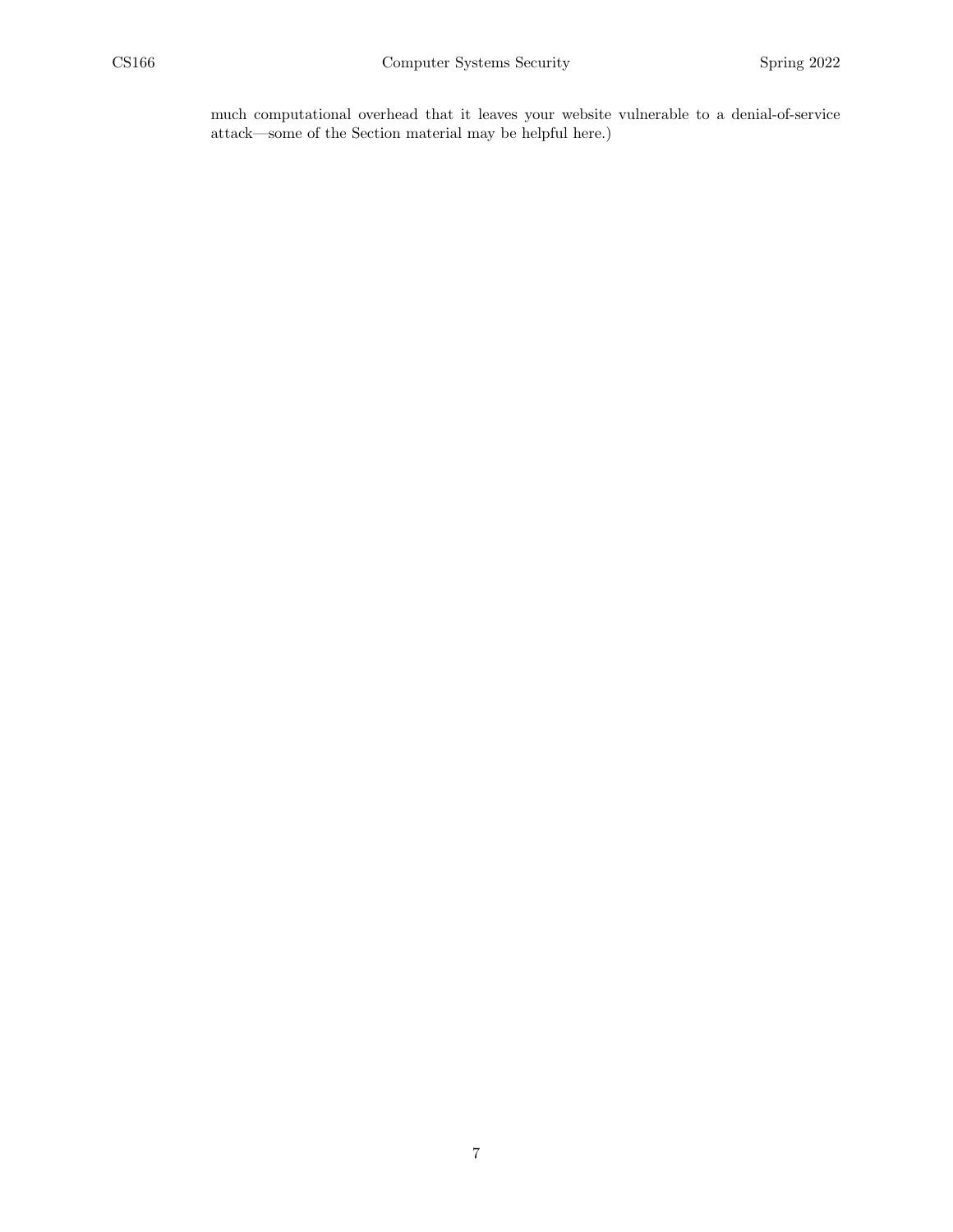much computational overhead that it leaves your website vulnerable to a denial-of-service attack—some of the Section material may be helpful here.)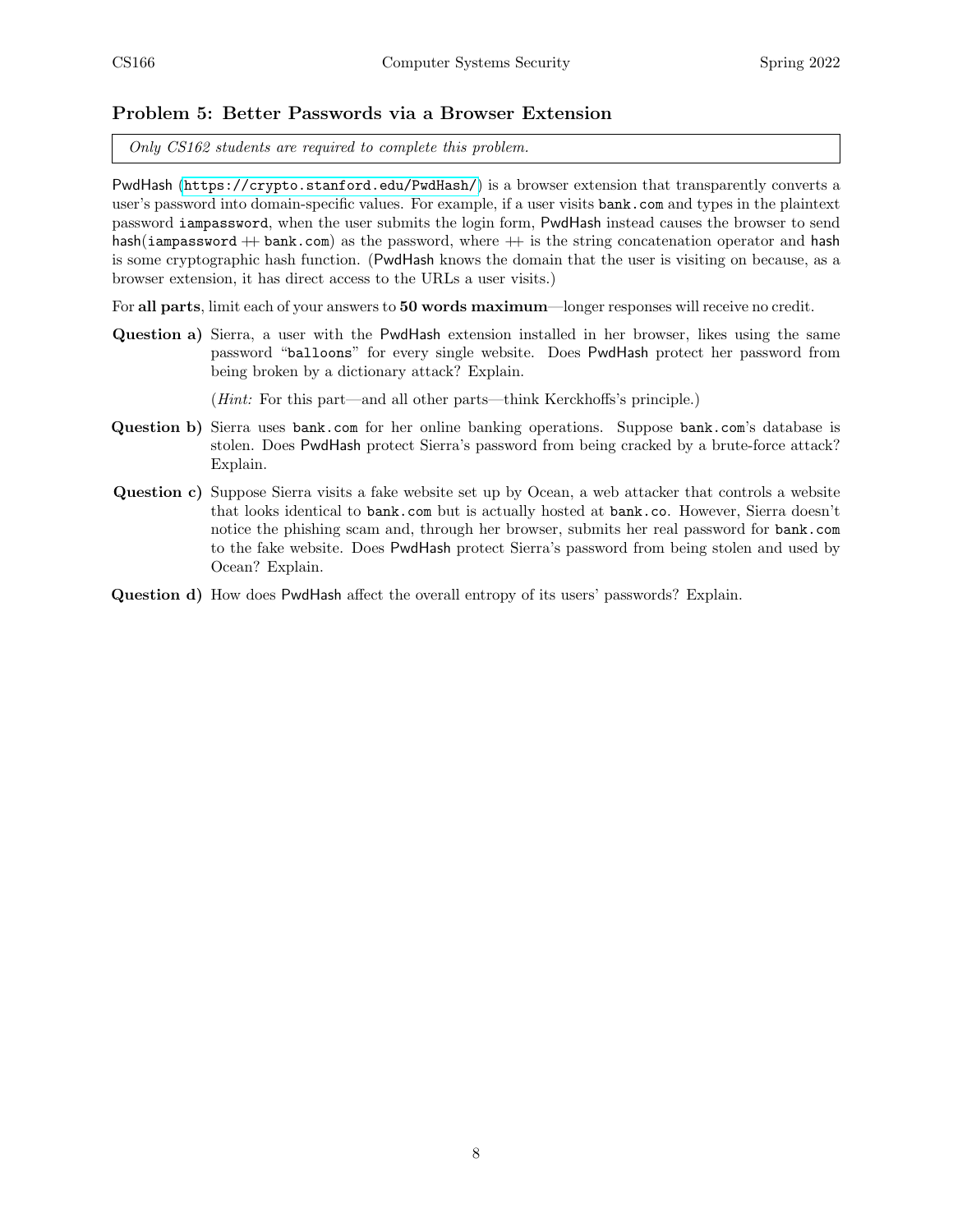#### Problem 5: Better Passwords via a Browser Extension

Only CS162 students are required to complete this problem.

PwdHash (<https://crypto.stanford.edu/PwdHash/>) is a browser extension that transparently converts a user's password into domain-specific values. For example, if a user visits bank.com and types in the plaintext password iampassword, when the user submits the login form, PwdHash instead causes the browser to send hash(iampassword  $+$  bank.com) as the password, where  $+$  is the string concatenation operator and hash is some cryptographic hash function. (PwdHash knows the domain that the user is visiting on because, as a browser extension, it has direct access to the URLs a user visits.)

For all parts, limit each of your answers to 50 words maximum—longer responses will receive no credit.

Question a) Sierra, a user with the PwdHash extension installed in her browser, likes using the same password "balloons" for every single website. Does PwdHash protect her password from being broken by a dictionary attack? Explain.

(Hint: For this part—and all other parts—think Kerckhoffs's principle.)

- Question b) Sierra uses bank.com for her online banking operations. Suppose bank.com's database is stolen. Does PwdHash protect Sierra's password from being cracked by a brute-force attack? Explain.
- Question c) Suppose Sierra visits a fake website set up by Ocean, a web attacker that controls a website that looks identical to bank.com but is actually hosted at bank.co. However, Sierra doesn't notice the phishing scam and, through her browser, submits her real password for bank.com to the fake website. Does PwdHash protect Sierra's password from being stolen and used by Ocean? Explain.

Question d) How does PwdHash affect the overall entropy of its users' passwords? Explain.